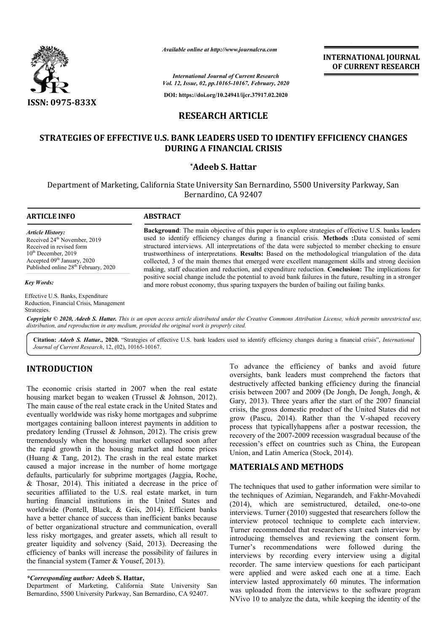

**INTERNATIONAL JOURNAL OF CURRENT RESEARCH**

*International Journal of Current Research Vol. 12, Issue, 02, pp.10165-10167, February, 2020*

**DOI: https://doi.org/10.24941/ijcr.37917.02.2020**

# **RESEARCH ARTICLE**

# **STRATEGIES OF EFFECTIVE U.S. BANK LEADERS USED TO IDENTIFY EFFICIENCY CHANGES DURING A FINANCIAL CRISIS**

## **\*Adeeb S. Hattar**

Department of Marketing, California State University San Bernardino, 5500 University Parkway, San Bernardino, CA 92407

#### **ARTICLE INFO ABSTRACT**

*Article History:* Received 24<sup>th</sup> November, 2019 Received in revised form 10<sup>th</sup> December, 2019  $\frac{1}{2}$  Accepted 09<sup>th</sup> January, 2020 Published online 28<sup>th</sup> February, 2020

*Key Words:*

Effective U.S. Banks, Expenditure Reduction, Financial Crisis, Management Strategies.

**Background** : The main objective of this paper is to explore strategies of effective U.S. banks leaders Background: The main objective of this paper is to explore strategies of effective U.S. banks leaders used to identify efficiency changes during a financial crisis. Methods :Data consisted of semi structured interviews. All interpretations of the data were subjected to member checking to ensure trustworthiness of interpretations. **Results:** Based on the methodological triangulation of the data collected, 3 of the main themes that emerged were e excellent management skills and strong decision collected, 3 of the main themes that emerged were excellent management skills and strong decision making, staff education and reduction, and expenditure reduction. Conclusion: The implications for positive social change include the potential to avoid bank failures in the future, resulting in a stronger positive social change include the potential to avoid bank failures in the future, resulting in and more robust economy, thus sparing taxpayers the burden of bailing out failing banks. Available online at http://www.journalcra.com<br>
International Journal of Current Researc<br>
Vol. 12, Issue, 02, pp.10165-10167, February,<br>
DOI: https://doi.org/10.24941/ijcr.37917.02.<br> **RESEARCH ARTICLE**<br>
ECTIVE U.S. BANK LEA

Copyright © 2020, Adeeb S. Hattar. This is an open access article distributed under the Creative Commons Attribution License, which permits unrestricted use, *distribution, and reproduction in any medium, provided the original work is properly cited.*

Citation: *Adeeb S. Hattar., 2020.* "Strategies of effective U.S. bank leaders used to identify efficiency changes during a financial crisis", *International Journal of Current Research*, 12, (02), 10165-10167.

# **INTRODUCTION**

The economic crisis started in 2007 when the real estate housing market began to weaken (Trussel & Johnson, 2012). The main cause of the real estate crack in the United States and eventually worldwide was risky home mortgages and subprime mortgages containing balloon interest payments in addition to predatory lending (Trussel & Johnson, 2012). The crisis grew tremendously when the housing market collapsed soon after the rapid growth in the housing market and home prices (Huang & Tang, 2012). The crash in the real estate market caused a major increase in the number of home mortgage defaults, particularly for subprime mortgages (Jaggia, Roche, & Thosar, 2014). This initiated a decrease in the price of securities affiliated to the U.S. real estate market, in turn hurting financial institutions in the United States and worldwide (Pontell, Black, & Geis, 2014). Efficient banks have a better chance of success than inefficient banks because of better organizational structure and communication, overall less risky mortgages, and greater assets, which all result to greater liquidity and solvency (Said, 2013). Decreasing the efficiency of banks will increase the possibility of failures in the financial system (Tamer & Yousef, 2013). ). Efficient banks<br>ient banks because<br>nunication, overall<br>which all result to<br>3). Decreasing the

### *\*Corresponding author:* **Adeeb S. Hattar,**

Department of Marketing, California State University San Bernardino, 5500 University Parkway, San Bernardino, CA 92407 92407.

To advance the efficiency of banks and avoid future oversights, bank leaders must comprehend the factors that destructively affected banking efficiency during the financial To advance the efficiency of banks and avoid future<br>oversights, bank leaders must comprehend the factors that<br>destructively affected banking efficiency during the financial<br>crisis between 2007 and 2009 (De Jongh, De Jongh, Gary, 2013). Three years after the start of the 2007 financial crisis, the gross domestic product of the United States did not crisis, the gross domestic product of the United States did not grow (Pascu, 2014). Rather than the V-shaped recovery process that typicallyhappens after a postwar recession, the recovery of the 2007-2009 recession wasgradual because of the recession's effect on countries such as China, the European Union, and Latin America (Stock, 2014). that typicallyhappens after a postwar recession, the of the 2007-2009 recession was gradual because of the is effect on countries such as China, the European and Latin America (Stock, 2014).

## **MATERIALS AND METHODS METHODS**

The techniques that used to gather information were similar to The techniques that used to gather information were similar to the techniques of Azimian, Negarandeh, and Fakhr-Movahedi (2014), which are semistructured, detailed, one-to-one interviews. Turner (2010) suggested that researchers follow the interview protocol technique to complete each interview. Turner recommended that researchers start each interview by introducing themselves and reviewing the consent form. Turner's recommendations were followed during the interviews by recording every interview using a digital recorder. The same interview questions for each participant were applied and were asked each one at a time. Each interview lasted approximately 60 minutes. The information was uploaded from the interviews to the software program NVivo 10 to analyze the data, while keeping the identity of the Turner (2010) suggested that researchers follow the protocol technique to complete each interview by themselves and reviewing the consent form.<br>recommendations were followed during the by recording every interview using a INTERNATIONAL JOURNAL<br> **OF CURRENT RESEARCH**<br> **OF CURRENT RESEARCH**<br> **OF CURRENT RESEARCH**<br> **OF CURRENT RESEARCH**<br> **OF CURRENT RESEARCH**<br> **ARTICLE**<br> **SUSED TO IDENTIFY EFFICIENCY CHANGES**<br> **SUSED TO IDENTIFY EFFICIENCY CHA**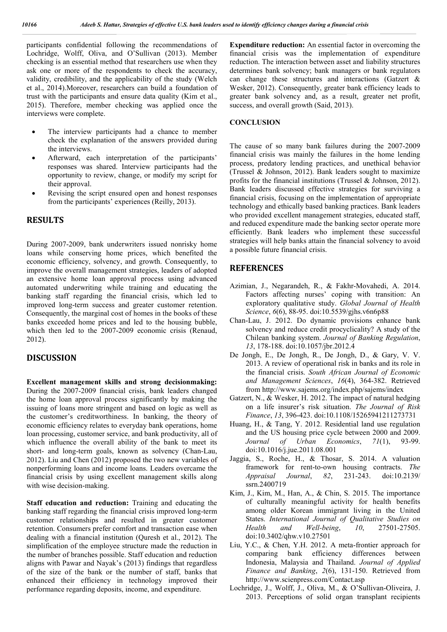participants confidential following the recommendations of Lochridge, Wolff, Oliva, and O'Sullivan (2013). Member checking is an essential method that researchers use when they ask one or more of the respondents to check the accuracy, validity, credibility, and the applicability of the study (Welch et al., 2014).Moreover, researchers can build a foundation of trust with the participants and ensure data quality (Kim et al., 2015). Therefore, member checking was applied once the interviews were complete.

- The interview participants had a chance to member check the explanation of the answers provided during the interviews.
- Afterward, each interpretation of the participants' responses was shared. Interview participants had the opportunity to review, change, or modify my script for their approval.
- Revising the script ensured open and honest responses from the participants' experiences (Reilly, 2013).

## **RESULTS**

During 2007-2009, bank underwriters issued nonrisky home loans while conserving home prices, which benefited the economic efficiency, solvency, and growth. Consequently, to improve the overall management strategies, leaders of adopted an extensive home loan approval process using advanced automated underwriting while training and educating the banking staff regarding the financial crisis, which led to improved long-term success and greater customer retention. Consequently, the marginal cost of homes in the books of these banks exceeded home prices and led to the housing bubble, which then led to the 2007-2009 economic crisis (Renaud, 2012).

## **DISCUSSION**

**Excellent management skills and strong decisionmaking:** During the 2007-2009 financial crisis, bank leaders changed the home loan approval process significantly by making the issuing of loans more stringent and based on logic as well as the customer's creditworthiness. In banking, the theory of economic efficiency relates to everyday bank operations, home loan processing, customer service, and bank productivity, all of which influence the overall ability of the bank to meet its short- and long-term goals, known as solvency (Chan-Lau, 2012). Liu and Chen (2012) proposed the two new variables of nonperforming loans and income loans. Leaders overcame the financial crisis by using excellent management skills along with wise decision-making.

**Staff education and reduction:** Training and educating the banking staff regarding the financial crisis improved long-term customer relationships and resulted in greater customer retention. Consumers prefer comfort and transaction ease when dealing with a financial institution (Quresh et al., 2012). The simplification of the employee structure made the reduction in the number of branches possible. Staff education and reduction aligns with Pawar and Nayak's (2013) findings that regardless of the size of the bank or the number of staff, banks that enhanced their efficiency in technology improved their performance regarding deposits, income, and expenditure.

**Expenditure reduction:** An essential factor in overcoming the financial crisis was the implementation of expenditure reduction. The interaction between asset and liability structures determines bank solvency; bank managers or bank regulators can change these structures and interactions (Gatzert & Wesker, 2012). Consequently, greater bank efficiency leads to greater bank solvency and, as a result, greater net profit, success, and overall growth (Said, 2013).

#### **CONCLUSION**

The cause of so many bank failures during the 2007-2009 financial crisis was mainly the failures in the home lending process, predatory lending practices, and unethical behavior (Trussel & Johnson, 2012). Bank leaders sought to maximize profits for the financial institutions (Trussel & Johnson, 2012). Bank leaders discussed effective strategies for surviving a financial crisis, focusing on the implementation of appropriate technology and ethically based banking practices. Bank leaders who provided excellent management strategies, educated staff, and reduced expenditure made the banking sector operate more efficiently. Bank leaders who implement these successful strategies will help banks attain the financial solvency to avoid a possible future financial crisis.

## **REFERENCES**

- Azimian, J., Negarandeh, R., & Fakhr-Movahedi, A. 2014. Factors affecting nurses' coping with transition: An exploratory qualitative study. *Global Journal of Health Science*, *6*(6), 88-95. doi:10.5539/gjhs.v6n6p88
- Chan-Lau, J. 2012. Do dynamic provisions enhance bank solvency and reduce credit procyclicality? A study of the Chilean banking system. *Journal of Banking Regulation*, *13*, 178-188. doi:10.1057/jbr.2012.4
- De Jongh, E., De Jongh, R., De Jongh, D., & Gary, V. V. 2013. A review of operational risk in banks and its role in the financial crisis. *South African Journal of Economic and Management Sciences*, *16*(4), 364-382. Retrieved from http://www.sajems.org/index.php/sajems/index
- Gatzert, N., & Wesker, H. 2012. The impact of natural hedging on a life insurer's risk situation. *The Journal of Risk Finance*, *13*, 396-423. doi:10.1108/15265941211273731
- Huang, H., & Tang, Y. 2012. Residential land use regulation and the US housing price cycle between 2000 and 2009. *Journal of Urban Economics*, *71*(1), 93-99. doi:10.1016/j.jue.2011.08.001
- Jaggia, S., Roche, H., & Thosar, S. 2014. A valuation framework for rent-to-own housing contracts. *The Appraisal Journal*, *82*, 231-243. doi:10.2139/ ssrn.2400719
- Kim, J., Kim, M., Han, A., & Chin, S. 2015. The importance of culturally meaningful activity for health benefits among older Korean immigrant living in the United States. *International Journal of Qualitative Studies on Health and Well-being*, *10*, 27501-27505. doi:10.3402/qhw.v10.27501
- Liu, Y.C., & Chen, Y.H. 2012. A meta-frontier approach for comparing bank efficiency differences between Indonesia, Malaysia and Thailand. *Journal of Applied Finance and Banking*, *2*(6), 131-150. Retrieved from http://www.scienpress.com/Contact.asp
- Lochridge, J., Wolff, J., Oliva, M., & O'Sullivan-Oliveira, J. 2013. Perceptions of solid organ transplant recipients